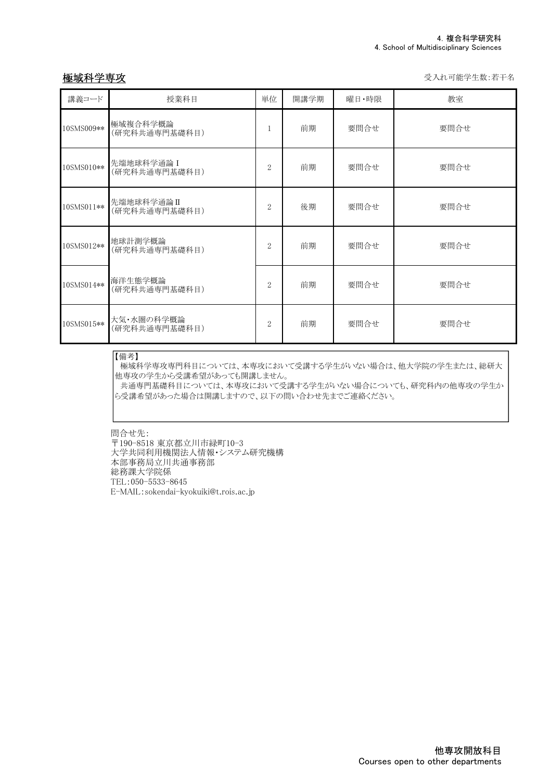板城科学専攻 マイン インディー しょうしゃ しょうしゃ かいしゃ かいしゃ かいしゅう 受入れ可能学生数:若干名

| 講義コード      | 授業科目                        | 単位             | 開講学期 | 曜日·時限 | 教室   |
|------------|-----------------------------|----------------|------|-------|------|
| 10SMS009** | 極域複合科学概論<br>(研究科共通専門基礎科目)   | 1              | 前期   | 要問合せ  | 要問合せ |
| 10SMS010** | 先端地球科学通論 I<br>(研究科共通専門基礎科目) | 2              | 前期   | 要問合せ  | 要問合せ |
| 10SMS011** | 先端地球科学通論Ⅱ<br>(研究科共通専門基礎科目)  | $\overline{2}$ | 後期   | 要問合せ  | 要問合せ |
| 10SMS012** | 地球計測学概論<br>(研究科共通専門基礎科目)    | $\overline{2}$ | 前期   | 要問合せ  | 要問合せ |
| 10SMS014** | 海洋生態学概論<br>(研究科共通専門基礎科目)    | $\overline{2}$ | 前期   | 要問合せ  | 要問合せ |
| 10SMS015** | 大気・水圏の科学概論<br>(研究科共通専門基礎科目) | $\overline{2}$ | 前期   | 要問合せ  | 要問合せ |

## 【備考】

極域科学専攻専門科目については、本専攻において受講する学生がいない場合は、他大学院の学生または、総研大 他専攻の学生から受講希望があっても開講しません。

共通専門基礎科目については、本専攻において受講する学生がいない場合についても、研究科内の他専攻の学生か ら受講希望があった場合は開講しますので、以下の問い合わせ先までご連絡ください。

問合せ先:

〒190-8518 東京都立川市緑町10-3 大学共同利用機関法人情報・システム研究機構 本部事務局立川共通事務部 総務課大学院係 TEL:050-5533-8645 E-MAIL:sokendai-kyokuiki@t.rois.ac.jp